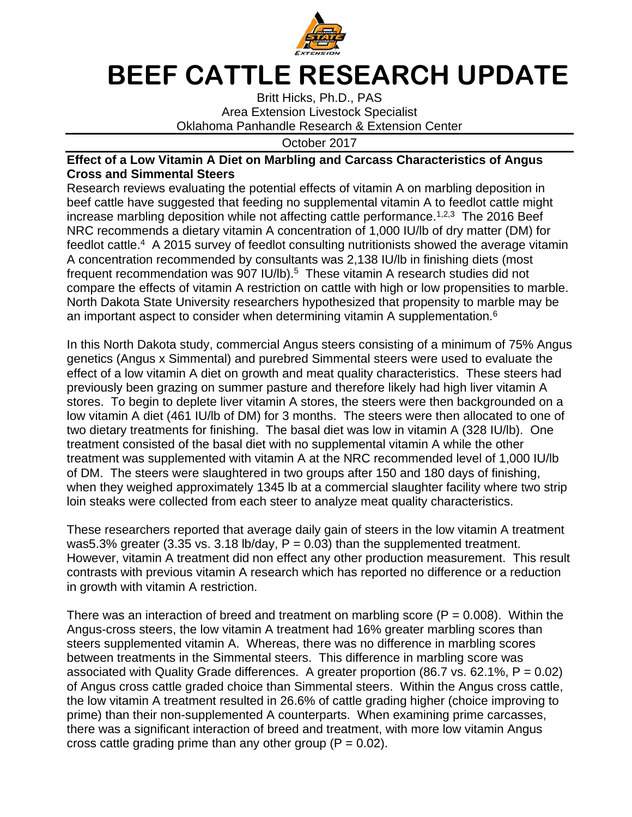

## **BEEF CATTLE RESEARCH UPDATE**

Britt Hicks, Ph.D., PAS Area Extension Livestock Specialist Oklahoma Panhandle Research & Extension Center

October 2017

## **Effect of a Low Vitamin A Diet on Marbling and Carcass Characteristics of Angus Cross and Simmental Steers**

Research reviews evaluating the potential effects of vitamin A on marbling deposition in beef cattle have suggested that feeding no supplemental vitamin A to feedlot cattle might increase marbling deposition while not affecting cattle performance.<sup>1,2,3</sup> The 2016 Beef NRC recommends a dietary vitamin A concentration of 1,000 IU/lb of dry matter (DM) for feedlot cattle.<sup>4</sup> A 2015 survey of feedlot consulting nutritionists showed the average vitamin A concentration recommended by consultants was 2,138 IU/lb in finishing diets (most frequent recommendation was 907 IU/lb).<sup>5</sup> These vitamin A research studies did not compare the effects of vitamin A restriction on cattle with high or low propensities to marble. North Dakota State University researchers hypothesized that propensity to marble may be an important aspect to consider when determining vitamin A supplementation.<sup>6</sup>

In this North Dakota study, commercial Angus steers consisting of a minimum of 75% Angus genetics (Angus x Simmental) and purebred Simmental steers were used to evaluate the effect of a low vitamin A diet on growth and meat quality characteristics. These steers had previously been grazing on summer pasture and therefore likely had high liver vitamin A stores. To begin to deplete liver vitamin A stores, the steers were then backgrounded on a low vitamin A diet (461 IU/lb of DM) for 3 months. The steers were then allocated to one of two dietary treatments for finishing. The basal diet was low in vitamin A (328 IU/lb). One treatment consisted of the basal diet with no supplemental vitamin A while the other treatment was supplemented with vitamin A at the NRC recommended level of 1,000 IU/lb of DM. The steers were slaughtered in two groups after 150 and 180 days of finishing, when they weighed approximately 1345 lb at a commercial slaughter facility where two strip loin steaks were collected from each steer to analyze meat quality characteristics.

These researchers reported that average daily gain of steers in the low vitamin A treatment was5.3% greater (3.35 vs. 3.18 lb/day,  $P = 0.03$ ) than the supplemented treatment. However, vitamin A treatment did non effect any other production measurement. This result contrasts with previous vitamin A research which has reported no difference or a reduction in growth with vitamin A restriction.

There was an interaction of breed and treatment on marbling score ( $P = 0.008$ ). Within the Angus-cross steers, the low vitamin A treatment had 16% greater marbling scores than steers supplemented vitamin A. Whereas, there was no difference in marbling scores between treatments in the Simmental steers. This difference in marbling score was associated with Quality Grade differences. A greater proportion (86.7 vs. 62.1%,  $P = 0.02$ ) of Angus cross cattle graded choice than Simmental steers. Within the Angus cross cattle, the low vitamin A treatment resulted in 26.6% of cattle grading higher (choice improving to prime) than their non-supplemented A counterparts. When examining prime carcasses, there was a significant interaction of breed and treatment, with more low vitamin Angus cross cattle grading prime than any other group  $(P = 0.02)$ .